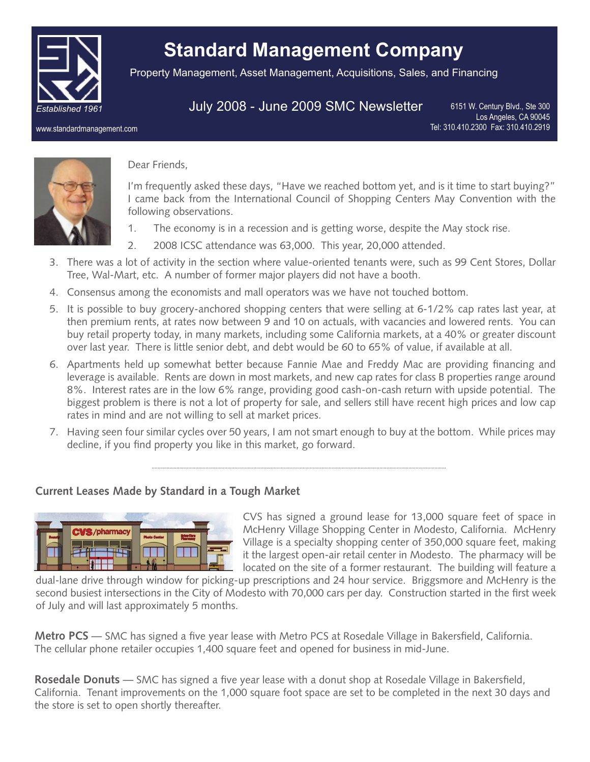

# **Standard Management Company**

Property Management, Asset Management, Acquisitions, Sales, and Financing

# July 2008 - June 2009 SMC Newsletter

6151 W. Century Blvd., Ste 300 Los Angeles, CA 90045 Tel: 310.410.2300 Fax: 310.410.2919

www.standardmanagement.com



#### Dear Friends,

I'm frequently asked these days, "Have we reached bottom yet, and is it time to start buying?" I came back from the International Council of Shopping Centers May Convention with the following observations.

- 1. The economy is in a recession and is getting worse, despite the May stock rise.
- 2. 2008 ICSC attendance was 63,000. This year, 20,000 attended.
- 3. There was a lot of activity in the section where value-oriented tenants were, such as 99 Cent Stores, Dollar Tree, Wal-Mart, etc. A number of former major players did not have a booth.
- 4. Consensus among the economists and mall operators was we have not touched bottom.
- 5. It is possible to buy grocery-anchored shopping centers that were selling at 6-1/2% cap rates last year, at then premium rents, at rates now between 9 and 10 on actuals, with vacancies and lowered rents. You can buy retail property today, in many markets, including some California markets, at a 40% or greater discount over last year. There is little senior debt, and debt would be 60 to 65% of value, if available at all.
- 6. Apartments held up somewhat better because Fannie Mae and Freddy Mac are providing financing and leverage is available. Rents are down in most markets, and new cap rates for class B properties range around 8%. Interest rates are in the low 6% range, providing good cash-on-cash return with upside potential. The biggest problem is there is not a lot of property for sale, and sellers still have recent high prices and low cap rates in mind and are not willing to sell at market prices.
- 7. Having seen four similar cycles over 50 years, I am not smart enough to buy at the bottom. While prices may decline, if you find property you like in this market, go forward.

# **Current Leases Made by Standard in a Tough Market**



CVS has signed a ground lease for 13,000 square feet of space in McHenry Village Shopping Center in Modesto, California. McHenry Village is a specialty shopping center of 350,000 square feet, making it the largest open-air retail center in Modesto. The pharmacy will be located on the site of a former restaurant. The building will feature a

dual-lane drive through window for picking-up prescriptions and 24 hour service. Briggsmore and McHenry is the second busiest intersections in the City of Modesto with 70,000 cars per day. Construction started in the first week of July and will last approximately 5 months.

**Metro PCS** — SMC has signed a five year lease with Metro PCS at Rosedale Village in Bakersfield, California. The cellular phone retailer occupies 1,400 square feet and opened for business in mid-June.

**Rosedale Donuts** — SMC has signed a five year lease with a donut shop at Rosedale Village in Bakersfield, California. Tenant improvements on the 1,000 square foot space are set to be completed in the next 30 days and the store is set to open shortly thereafter.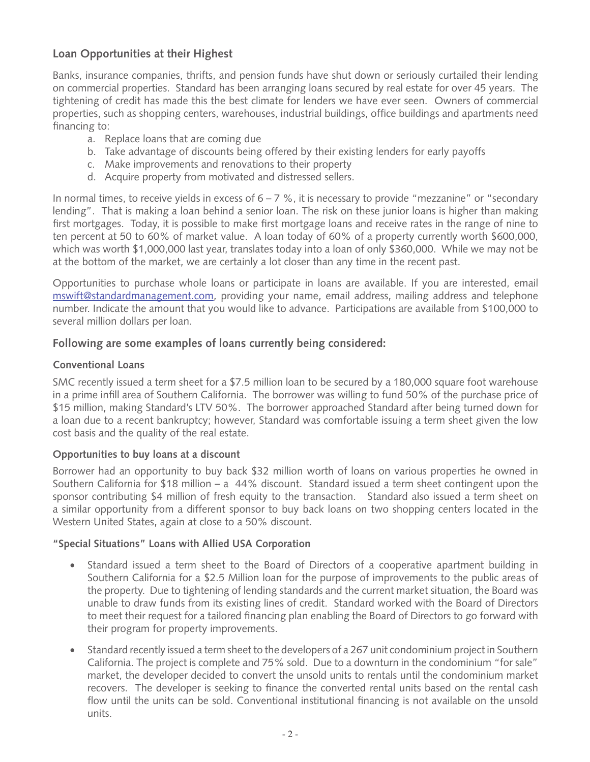# **Loan Opportunities at their Highest**

Banks, insurance companies, thrifts, and pension funds have shut down or seriously curtailed their lending on commercial properties. Standard has been arranging loans secured by real estate for over 45 years. The tightening of credit has made this the best climate for lenders we have ever seen. Owners of commercial properties, such as shopping centers, warehouses, industrial buildings, office buildings and apartments need financing to:

- a. Replace loans that are coming due
- b. Take advantage of discounts being offered by their existing lenders for early payoffs
- c. Make improvements and renovations to their property
- d. Acquire property from motivated and distressed sellers.

In normal times, to receive yields in excess of  $6 - 7$  %, it is necessary to provide "mezzanine" or "secondary lending". That is making a loan behind a senior loan. The risk on these junior loans is higher than making first mortgages. Today, it is possible to make first mortgage loans and receive rates in the range of nine to ten percent at 50 to 60% of market value. A loan today of 60% of a property currently worth \$600,000, which was worth \$1,000,000 last year, translates today into a loan of only \$360,000. While we may not be at the bottom of the market, we are certainly a lot closer than any time in the recent past.

Opportunities to purchase whole loans or participate in loans are available. If you are interested, email mswift@standardmanagement.com, providing your name, email address, mailing address and telephone number. Indicate the amount that you would like to advance. Participations are available from \$100,000 to several million dollars per loan.

# **Following are some examples of loans currently being considered:**

### **Conventional Loans**

SMC recently issued a term sheet for a \$7.5 million loan to be secured by a 180,000 square foot warehouse in a prime infill area of Southern California. The borrower was willing to fund 50% of the purchase price of \$15 million, making Standard's LTV 50%. The borrower approached Standard after being turned down for a loan due to a recent bankruptcy; however, Standard was comfortable issuing a term sheet given the low cost basis and the quality of the real estate.

# **Opportunities to buy loans at a discount**

Borrower had an opportunity to buy back \$32 million worth of loans on various properties he owned in Southern California for \$18 million – a 44% discount. Standard issued a term sheet contingent upon the sponsor contributing \$4 million of fresh equity to the transaction. Standard also issued a term sheet on a similar opportunity from a different sponsor to buy back loans on two shopping centers located in the Western United States, again at close to a 50% discount.

#### **"Special Situations" Loans with Allied USA Corporation**

- Standard issued a term sheet to the Board of Directors of a cooperative apartment building in Southern California for a \$2.5 Million loan for the purpose of improvements to the public areas of the property. Due to tightening of lending standards and the current market situation, the Board was unable to draw funds from its existing lines of credit. Standard worked with the Board of Directors to meet their request for a tailored financing plan enabling the Board of Directors to go forward with their program for property improvements.
- Standard recently issued a term sheet to the developers of a 267 unit condominium project in Southern California. The project is complete and 75% sold. Due to a downturn in the condominium "for sale" market, the developer decided to convert the unsold units to rentals until the condominium market recovers. The developer is seeking to finance the converted rental units based on the rental cash flow until the units can be sold. Conventional institutional financing is not available on the unsold units.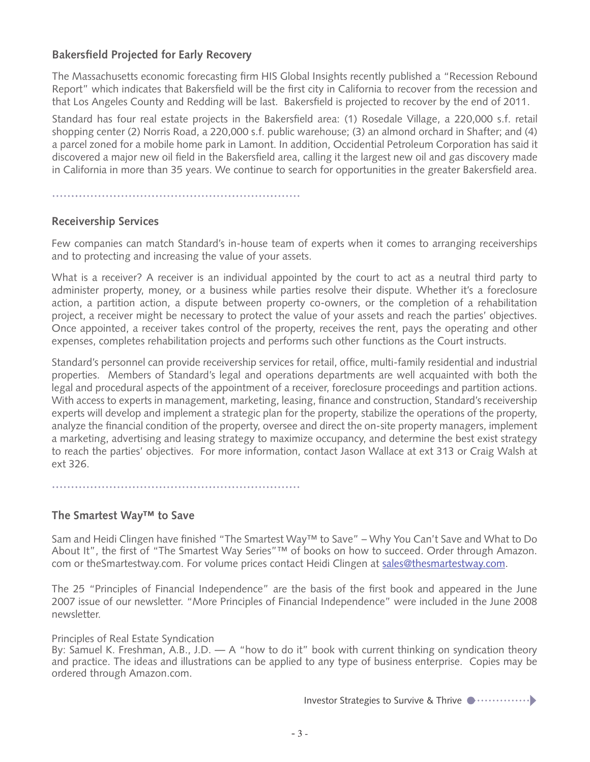# **Bakersfield Projected for Early Recovery**

The Massachusetts economic forecasting firm HIS Global Insights recently published a "Recession Rebound Report" which indicates that Bakersfield will be the first city in California to recover from the recession and that Los Angeles County and Redding will be last. Bakersfield is projected to recover by the end of 2011.

Standard has four real estate projects in the Bakersfield area: (1) Rosedale Village, a 220,000 s.f. retail shopping center (2) Norris Road, a 220,000 s.f. public warehouse; (3) an almond orchard in Shafter; and (4) a parcel zoned for a mobile home park in Lamont. In addition, Occidential Petroleum Corporation has said it discovered a major new oil field in the Bakersfield area, calling it the largest new oil and gas discovery made in California in more than 35 years. We continue to search for opportunities in the greater Bakersfield area.

### **Receivership Services**

Few companies can match Standard's in-house team of experts when it comes to arranging receiverships and to protecting and increasing the value of your assets.

What is a receiver? A receiver is an individual appointed by the court to act as a neutral third party to administer property, money, or a business while parties resolve their dispute. Whether it's a foreclosure action, a partition action, a dispute between property co-owners, or the completion of a rehabilitation project, a receiver might be necessary to protect the value of your assets and reach the parties' objectives. Once appointed, a receiver takes control of the property, receives the rent, pays the operating and other expenses, completes rehabilitation projects and performs such other functions as the Court instructs.

Standard's personnel can provide receivership services for retail, office, multi-family residential and industrial properties. Members of Standard's legal and operations departments are well acquainted with both the legal and procedural aspects of the appointment of a receiver, foreclosure proceedings and partition actions. With access to experts in management, marketing, leasing, finance and construction, Standard's receivership experts will develop and implement a strategic plan for the property, stabilize the operations of the property, analyze the financial condition of the property, oversee and direct the on-site property managers, implement a marketing, advertising and leasing strategy to maximize occupancy, and determine the best exist strategy to reach the parties' objectives. For more information, contact Jason Wallace at ext 313 or Craig Walsh at ext 326.

#### **The Smartest Way™ to Save**

Sam and Heidi Clingen have finished "The Smartest Way™ to Save" – Why You Can't Save and What to Do About It", the first of "The Smartest Way Series"™ of books on how to succeed. Order through Amazon. com or theSmartestway.com. For volume prices contact Heidi Clingen at sales@thesmartestway.com.

The 25 "Principles of Financial Independence" are the basis of the first book and appeared in the June 2007 issue of our newsletter. "More Principles of Financial Independence" were included in the June 2008 newsletter.

Principles of Real Estate Syndication

By: Samuel K. Freshman, A.B., J.D. — A "how to do it" book with current thinking on syndication theory and practice. The ideas and illustrations can be applied to any type of business enterprise. Copies may be ordered through Amazon.com.

Investor Strategies to Survive & Thrive  $\bullet \cdots \cdots \cdots \bullet$